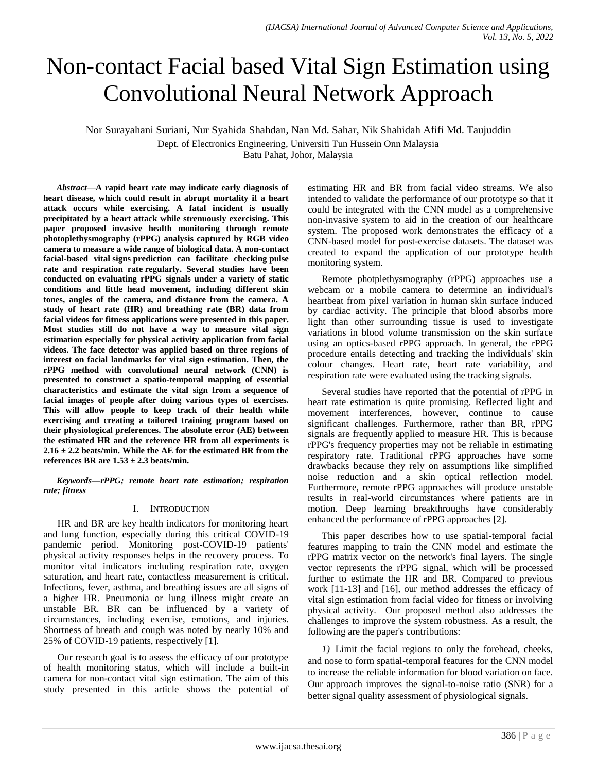# Non-contact Facial based Vital Sign Estimation using Convolutional Neural Network Approach

Nor Surayahani Suriani, Nur Syahida Shahdan, Nan Md. Sahar, Nik Shahidah Afifi Md. Taujuddin Dept. of Electronics Engineering, Universiti Tun Hussein Onn Malaysia

Batu Pahat, Johor, Malaysia

*Abstract*—**A rapid heart rate may indicate early diagnosis of heart disease, which could result in abrupt mortality if a heart attack occurs while exercising. A fatal incident is usually precipitated by a heart attack while strenuously exercising. This paper proposed invasive health monitoring through remote photoplethysmography (rPPG) analysis captured by RGB video camera to measure a wide range of biological data. A non-contact facial-based vital signs prediction can facilitate checking pulse rate and respiration rate regularly. Several studies have been conducted on evaluating rPPG signals under a variety of static conditions and little head movement, including different skin tones, angles of the camera, and distance from the camera. A study of heart rate (HR) and breathing rate (BR) data from facial videos for fitness applications were presented in this paper. Most studies still do not have a way to measure vital sign estimation especially for physical activity application from facial videos. The face detector was applied based on three regions of interest on facial landmarks for vital sign estimation. Then, the rPPG method with convolutional neural network (CNN) is presented to construct a spatio-temporal mapping of essential characteristics and estimate the vital sign from a sequence of facial images of people after doing various types of exercises. This will allow people to keep track of their health while exercising and creating a tailored training program based on their physiological preferences. The absolute error (AE) between the estimated HR and the reference HR from all experiments is 2.16 ± 2.2 beats/min. While the AE for the estimated BR from the references BR are 1.53 ± 2.3 beats/min.**

*Keywords—rPPG; remote heart rate estimation; respiration rate; fitness*

#### I. INTRODUCTION

HR and BR are key health indicators for monitoring heart and lung function, especially during this critical COVID-19 pandemic period. Monitoring post-COVID-19 patients' physical activity responses helps in the recovery process. To monitor vital indicators including respiration rate, oxygen saturation, and heart rate, contactless measurement is critical. Infections, fever, asthma, and breathing issues are all signs of a higher HR. Pneumonia or lung illness might create an unstable BR. BR can be influenced by a variety of circumstances, including exercise, emotions, and injuries. Shortness of breath and cough was noted by nearly 10% and 25% of COVID-19 patients, respectively [1].

Our research goal is to assess the efficacy of our prototype of health monitoring status, which will include a built-in camera for non-contact vital sign estimation. The aim of this study presented in this article shows the potential of estimating HR and BR from facial video streams. We also intended to validate the performance of our prototype so that it could be integrated with the CNN model as a comprehensive non-invasive system to aid in the creation of our healthcare system. The proposed work demonstrates the efficacy of a CNN-based model for post-exercise datasets. The dataset was created to expand the application of our prototype health monitoring system.

Remote photplethysmography (rPPG) approaches use a webcam or a mobile camera to determine an individual's heartbeat from pixel variation in human skin surface induced by cardiac activity. The principle that blood absorbs more light than other surrounding tissue is used to investigate variations in blood volume transmission on the skin surface using an optics-based rPPG approach. In general, the rPPG procedure entails detecting and tracking the individuals' skin colour changes. Heart rate, heart rate variability, and respiration rate were evaluated using the tracking signals.

Several studies have reported that the potential of rPPG in heart rate estimation is quite promising. Reflected light and movement interferences, however, continue to cause significant challenges. Furthermore, rather than BR, rPPG signals are frequently applied to measure HR. This is because rPPG's frequency properties may not be reliable in estimating respiratory rate. Traditional rPPG approaches have some drawbacks because they rely on assumptions like simplified noise reduction and a skin optical reflection model. Furthermore, remote rPPG approaches will produce unstable results in real-world circumstances where patients are in motion. Deep learning breakthroughs have considerably enhanced the performance of rPPG approaches [2].

This paper describes how to use spatial-temporal facial features mapping to train the CNN model and estimate the rPPG matrix vector on the network's final layers. The single vector represents the rPPG signal, which will be processed further to estimate the HR and BR. Compared to previous work [11-13] and [16], our method addresses the efficacy of vital sign estimation from facial video for fitness or involving physical activity. Our proposed method also addresses the challenges to improve the system robustness. As a result, the following are the paper's contributions:

*1)* Limit the facial regions to only the forehead, cheeks, and nose to form spatial-temporal features for the CNN model to increase the reliable information for blood variation on face. Our approach improves the signal-to-noise ratio (SNR) for a better signal quality assessment of physiological signals.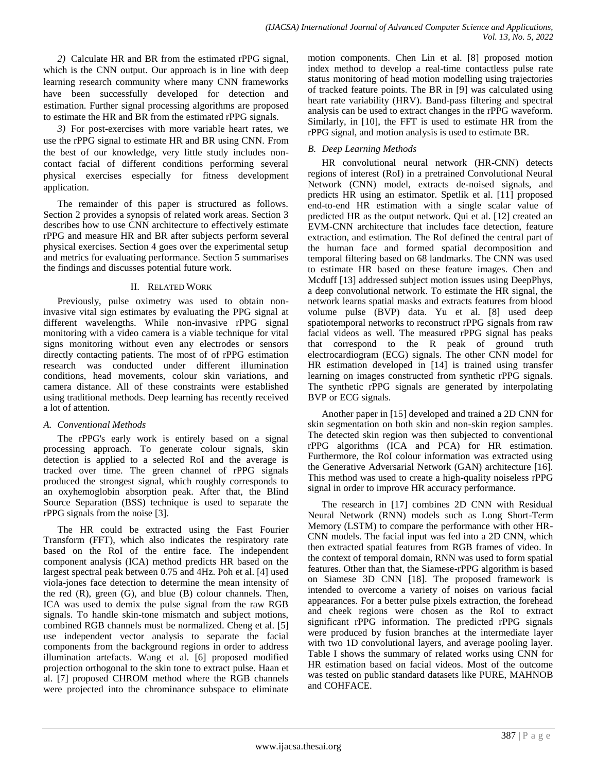*2)* Calculate HR and BR from the estimated rPPG signal, which is the CNN output. Our approach is in line with deep learning research community where many CNN frameworks have been successfully developed for detection and estimation. Further signal processing algorithms are proposed to estimate the HR and BR from the estimated rPPG signals.

*3)* For post-exercises with more variable heart rates, we use the rPPG signal to estimate HR and BR using CNN. From the best of our knowledge, very little study includes noncontact facial of different conditions performing several physical exercises especially for fitness development application.

The remainder of this paper is structured as follows. Section 2 provides a synopsis of related work areas. Section 3 describes how to use CNN architecture to effectively estimate rPPG and measure HR and BR after subjects perform several physical exercises. Section 4 goes over the experimental setup and metrics for evaluating performance. Section 5 summarises the findings and discusses potential future work.

## II. RELATED WORK

Previously, pulse oximetry was used to obtain noninvasive vital sign estimates by evaluating the PPG signal at different wavelengths. While non-invasive rPPG signal monitoring with a video camera is a viable technique for vital signs monitoring without even any electrodes or sensors directly contacting patients. The most of of rPPG estimation research was conducted under different illumination conditions, head movements, colour skin variations, and camera distance. All of these constraints were established using traditional methods. Deep learning has recently received a lot of attention.

# *A. Conventional Methods*

The rPPG's early work is entirely based on a signal processing approach. To generate colour signals, skin detection is applied to a selected RoI and the average is tracked over time. The green channel of rPPG signals produced the strongest signal, which roughly corresponds to an oxyhemoglobin absorption peak. After that, the Blind Source Separation (BSS) technique is used to separate the rPPG signals from the noise [3].

The HR could be extracted using the Fast Fourier Transform (FFT), which also indicates the respiratory rate based on the RoI of the entire face. The independent component analysis (ICA) method predicts HR based on the largest spectral peak between 0.75 and 4Hz. Poh et al. [4] used viola-jones face detection to determine the mean intensity of the red (R), green (G), and blue (B) colour channels. Then, ICA was used to demix the pulse signal from the raw RGB signals. To handle skin-tone mismatch and subject motions, combined RGB channels must be normalized. Cheng et al. [5] use independent vector analysis to separate the facial components from the background regions in order to address illumination artefacts. Wang et al. [6] proposed modified projection orthogonal to the skin tone to extract pulse. Haan et al. [7] proposed CHROM method where the RGB channels were projected into the chrominance subspace to eliminate motion components. Chen Lin et al. [8] proposed motion index method to develop a real-time contactless pulse rate status monitoring of head motion modelling using trajectories of tracked feature points. The BR in [9] was calculated using heart rate variability (HRV). Band-pass filtering and spectral analysis can be used to extract changes in the rPPG waveform. Similarly, in [10], the FFT is used to estimate HR from the rPPG signal, and motion analysis is used to estimate BR.

# *B. Deep Learning Methods*

HR convolutional neural network (HR-CNN) detects regions of interest (RoI) in a pretrained Convolutional Neural Network (CNN) model, extracts de-noised signals, and predicts HR using an estimator. Spetlik et al. [11] proposed end-to-end HR estimation with a single scalar value of predicted HR as the output network. Qui et al. [12] created an EVM-CNN architecture that includes face detection, feature extraction, and estimation. The RoI defined the central part of the human face and formed spatial decomposition and temporal filtering based on 68 landmarks. The CNN was used to estimate HR based on these feature images. Chen and Mcduff [13] addressed subject motion issues using DeepPhys, a deep convolutional network. To estimate the HR signal, the network learns spatial masks and extracts features from blood volume pulse (BVP) data. Yu et al. [8] used deep spatiotemporal networks to reconstruct rPPG signals from raw facial videos as well. The measured rPPG signal has peaks that correspond to the R peak of ground truth electrocardiogram (ECG) signals. The other CNN model for HR estimation developed in [14] is trained using transfer learning on images constructed from synthetic rPPG signals. The synthetic rPPG signals are generated by interpolating BVP or ECG signals.

Another paper in [15] developed and trained a 2D CNN for skin segmentation on both skin and non-skin region samples. The detected skin region was then subjected to conventional rPPG algorithms (ICA and PCA) for HR estimation. Furthermore, the RoI colour information was extracted using the Generative Adversarial Network (GAN) architecture [16]. This method was used to create a high-quality noiseless rPPG signal in order to improve HR accuracy performance.

The research in [17] combines 2D CNN with Residual Neural Network (RNN) models such as Long Short-Term Memory (LSTM) to compare the performance with other HR-CNN models. The facial input was fed into a 2D CNN, which then extracted spatial features from RGB frames of video. In the context of temporal domain, RNN was used to form spatial features. Other than that, the Siamese-rPPG algorithm is based on Siamese 3D CNN [18]. The proposed framework is intended to overcome a variety of noises on various facial appearances. For a better pulse pixels extraction, the forehead and cheek regions were chosen as the RoI to extract significant rPPG information. The predicted rPPG signals were produced by fusion branches at the intermediate layer with two 1D convolutional layers, and average pooling layer. Table I shows the summary of related works using CNN for HR estimation based on facial videos. Most of the outcome was tested on public standard datasets like PURE, MAHNOB and COHFACE.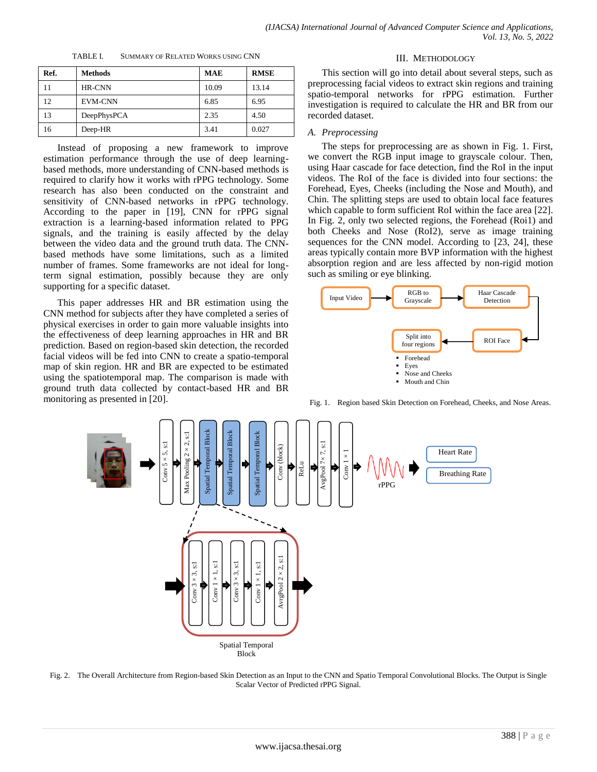| TABLE I. | <b>SUMMARY OF RELATED WORKS USING CNN</b> |  |
|----------|-------------------------------------------|--|
|          |                                           |  |

| Ref. | <b>Methods</b> | <b>MAE</b> | <b>RMSE</b> |
|------|----------------|------------|-------------|
| 11   | HR-CNN         | 10.09      | 13.14       |
| 12   | <b>EVM-CNN</b> | 6.85       | 6.95        |
| 13   | DeepPhysPCA    | 2.35       | 4.50        |
| 16   | Deep-HR        | 3.41       | 0.027       |

Instead of proposing a new framework to improve estimation performance through the use of deep learningbased methods, more understanding of CNN-based methods is required to clarify how it works with rPPG technology. Some research has also been conducted on the constraint and sensitivity of CNN-based networks in rPPG technology. According to the paper in [19], CNN for rPPG signal extraction is a learning-based information related to PPG signals, and the training is easily affected by the delay between the video data and the ground truth data. The CNNbased methods have some limitations, such as a limited number of frames. Some frameworks are not ideal for longterm signal estimation, possibly because they are only supporting for a specific dataset.

This paper addresses HR and BR estimation using the CNN method for subjects after they have completed a series of physical exercises in order to gain more valuable insights into the effectiveness of deep learning approaches in HR and BR prediction. Based on region-based skin detection, the recorded facial videos will be fed into CNN to create a spatio-temporal map of skin region. HR and BR are expected to be estimated using the spatiotemporal map. The comparison is made with ground truth data collected by contact-based HR and BR monitoring as presented in [20].

#### III. METHODOLOGY

This section will go into detail about several steps, such as preprocessing facial videos to extract skin regions and training spatio-temporal networks for rPPG estimation. Further investigation is required to calculate the HR and BR from our recorded dataset.

#### *A. Preprocessing*

The steps for preprocessing are as shown in Fig. 1. First, we convert the RGB input image to grayscale colour. Then, using Haar cascade for face detection, find the RoI in the input videos. The RoI of the face is divided into four sections: the Forehead, Eyes, Cheeks (including the Nose and Mouth), and Chin. The splitting steps are used to obtain local face features which capable to form sufficient RoI within the face area [22]. In Fig. 2, only two selected regions, the Forehead (Roi1) and both Cheeks and Nose (RoI2), serve as image training sequences for the CNN model. According to [23, 24], these areas typically contain more BVP information with the highest absorption region and are less affected by non-rigid motion such as smiling or eye blinking.



Fig. 1. Region based Skin Detection on Forehead, Cheeks, and Nose Areas.



Fig. 2. The Overall Architecture from Region-based Skin Detection as an Input to the CNN and Spatio Temporal Convolutional Blocks. The Output is Single Scalar Vector of Predicted rPPG Signal.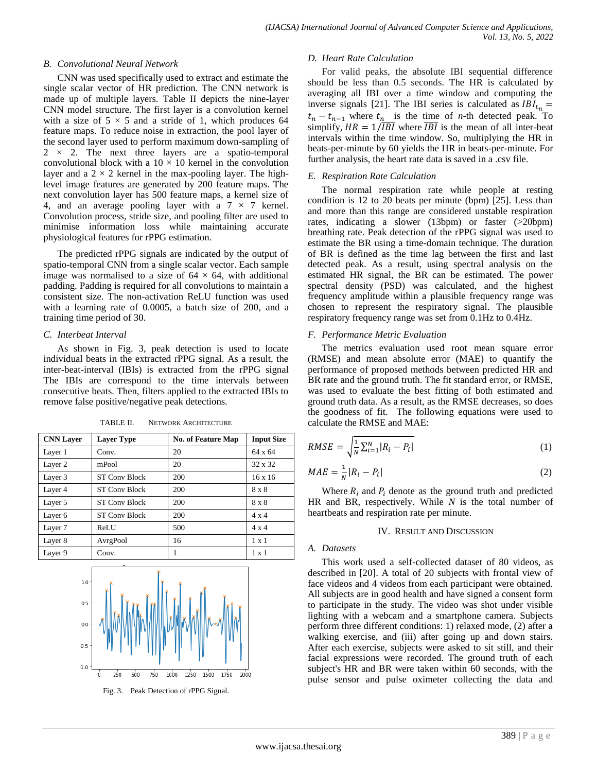#### *B. Convolutional Neural Network*

CNN was used specifically used to extract and estimate the single scalar vector of HR prediction. The CNN network is made up of multiple layers. Table II depicts the nine-layer CNN model structure. The first layer is a convolution kernel with a size of  $5 \times 5$  and a stride of 1, which produces 64 feature maps. To reduce noise in extraction, the pool layer of the second layer used to perform maximum down-sampling of  $2 \times 2$ . The next three layers are a spatio-temporal convolutional block with a  $10 \times 10$  kernel in the convolution layer and a  $2 \times 2$  kernel in the max-pooling layer. The highlevel image features are generated by 200 feature maps. The next convolution layer has 500 feature maps, a kernel size of 4, and an average pooling layer with a  $7 \times 7$  kernel. Convolution process, stride size, and pooling filter are used to minimise information loss while maintaining accurate physiological features for rPPG estimation.

The predicted rPPG signals are indicated by the output of spatio-temporal CNN from a single scalar vector. Each sample image was normalised to a size of  $64 \times 64$ , with additional padding. Padding is required for all convolutions to maintain a consistent size. The non-activation ReLU function was used with a learning rate of 0.0005, a batch size of 200, and a training time period of 30.

## *C. Interbeat Interval*

As shown in Fig. 3, peak detection is used to locate individual beats in the extracted rPPG signal. As a result, the inter-beat-interval (IBIs) is extracted from the rPPG signal The IBIs are correspond to the time intervals between consecutive beats. Then, filters applied to the extracted IBIs to remove false positive/negative peak detections.

| <b>CNN Layer</b> | <b>Layer Type</b>    | <b>No. of Feature Map</b> | <b>Input Size</b> |
|------------------|----------------------|---------------------------|-------------------|
| Layer 1          | Conv.                | 20                        | 64 x 64           |
| Layer 2          | mPool                | 20                        | $32 \times 32$    |
| Layer 3          | <b>ST Conv Block</b> | 200                       | $16 \times 16$    |
| Layer 4          | <b>ST Conv Block</b> | 200                       | $8 \times 8$      |
| Layer 5          | <b>ST Conv Block</b> | 200                       | $8 \times 8$      |
| Layer 6          | <b>ST Conv Block</b> | 200                       | $4 \times 4$      |
| Layer 7          | ReLU                 | 500                       | $4 \times 4$      |
| Layer 8          | AvrgPool             | 16                        | $1 \times 1$      |
| Layer 9          | Conv.                | 1                         | $1 \times 1$      |

TABLE II. NETWORK ARCHITECTURE





For valid peaks, the absolute IBI sequential difference should be less than 0.5 seconds. The HR is calculated by averaging all IBI over a time window and computing the inverse signals [21]. The IBI series is calculated as  $IBI_{t_n} =$  $t_n - t_{n-1}$  where  $t_n$  is the time of *n*-th detected peak. To simplify,  $HR = 1/\overline{IBI}$  where  $\overline{IBI}$  is the mean of all inter-beat intervals within the time window. So, multiplying the HR in beats-per-minute by 60 yields the HR in beats-per-minute. For further analysis, the heart rate data is saved in a .csv file.

## *E. Respiration Rate Calculation*

The normal respiration rate while people at resting condition is 12 to 20 beats per minute (bpm) [25]. Less than and more than this range are considered unstable respiration rates, indicating a slower (13bpm) or faster (>20bpm) breathing rate. Peak detection of the rPPG signal was used to estimate the BR using a time-domain technique. The duration of BR is defined as the time lag between the first and last detected peak. As a result, using spectral analysis on the estimated HR signal, the BR can be estimated. The power spectral density (PSD) was calculated, and the highest frequency amplitude within a plausible frequency range was chosen to represent the respiratory signal. The plausible respiratory frequency range was set from 0.1Hz to 0.4Hz.

## *F. Performance Metric Evaluation*

The metrics evaluation used root mean square error (RMSE) and mean absolute error (MAE) to quantify the performance of proposed methods between predicted HR and BR rate and the ground truth. The fit standard error, or RMSE, was used to evaluate the best fitting of both estimated and ground truth data. As a result, as the RMSE decreases, so does the goodness of fit. The following equations were used to calculate the RMSE and MAE:

$$
RMSE = \sqrt{\frac{1}{N} \sum_{i=1}^{N} |R_i - P_i|}
$$
\n(1)

$$
MAE = \frac{1}{N} |R_i - P_i| \tag{2}
$$

Where  $R_i$  and  $P_i$  denote as the ground truth and predicted HR and BR, respectively. While *N* is the total number of heartbeats and respiration rate per minute.

#### IV. RESULT AND DISCUSSION

#### *A. Datasets*

This work used a self-collected dataset of 80 videos, as described in [20]. A total of 20 subjects with frontal view of face videos and 4 videos from each participant were obtained. All subjects are in good health and have signed a consent form to participate in the study. The video was shot under visible lighting with a webcam and a smartphone camera. Subjects perform three different conditions: 1) relaxed mode, (2) after a walking exercise, and (iii) after going up and down stairs. After each exercise, subjects were asked to sit still, and their facial expressions were recorded. The ground truth of each subject's HR and BR were taken within 60 seconds, with the pulse sensor and pulse oximeter collecting the data and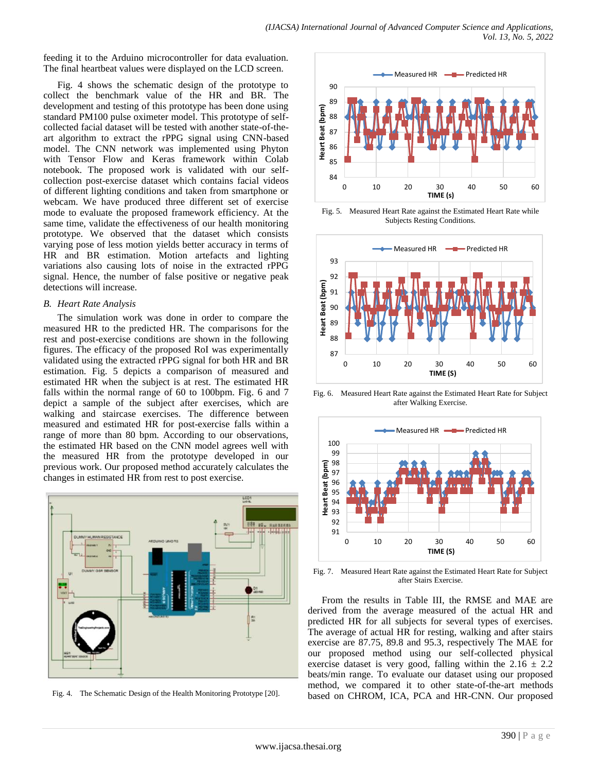feeding it to the Arduino microcontroller for data evaluation. The final heartbeat values were displayed on the LCD screen.

Fig. 4 shows the schematic design of the prototype to collect the benchmark value of the HR and BR. The development and testing of this prototype has been done using standard PM100 pulse oximeter model. This prototype of selfcollected facial dataset will be tested with another state-of-theart algorithm to extract the rPPG signal using CNN-based model. The CNN network was implemented using Phyton with Tensor Flow and Keras framework within Colab notebook. The proposed work is validated with our selfcollection post-exercise dataset which contains facial videos of different lighting conditions and taken from smartphone or webcam. We have produced three different set of exercise mode to evaluate the proposed framework efficiency. At the same time, validate the effectiveness of our health monitoring prototype. We observed that the dataset which consists varying pose of less motion yields better accuracy in terms of HR and BR estimation. Motion artefacts and lighting variations also causing lots of noise in the extracted rPPG signal. Hence, the number of false positive or negative peak detections will increase.

#### *B. Heart Rate Analysis*

The simulation work was done in order to compare the measured HR to the predicted HR. The comparisons for the rest and post-exercise conditions are shown in the following figures. The efficacy of the proposed RoI was experimentally validated using the extracted rPPG signal for both HR and BR estimation. Fig. 5 depicts a comparison of measured and estimated HR when the subject is at rest. The estimated HR falls within the normal range of 60 to 100bpm. Fig. 6 and 7 depict a sample of the subject after exercises, which are walking and staircase exercises. The difference between measured and estimated HR for post-exercise falls within a range of more than 80 bpm. According to our observations, the estimated HR based on the CNN model agrees well with the measured HR from the prototype developed in our previous work. Our proposed method accurately calculates the changes in estimated HR from rest to post exercise.



Fig. 4. The Schematic Design of the Health Monitoring Prototype [20].



Fig. 5. Measured Heart Rate against the Estimated Heart Rate while Subjects Resting Conditions.



Fig. 6. Measured Heart Rate against the Estimated Heart Rate for Subject after Walking Exercise.



Fig. 7. Measured Heart Rate against the Estimated Heart Rate for Subject after Stairs Exercise.

From the results in Table III, the RMSE and MAE are derived from the average measured of the actual HR and predicted HR for all subjects for several types of exercises. The average of actual HR for resting, walking and after stairs exercise are 87.75, 89.8 and 95.3, respectively The MAE for our proposed method using our self-collected physical exercise dataset is very good, falling within the  $2.16 \pm 2.2$ beats/min range. To evaluate our dataset using our proposed method, we compared it to other state-of-the-art methods based on CHROM, ICA, PCA and HR-CNN. Our proposed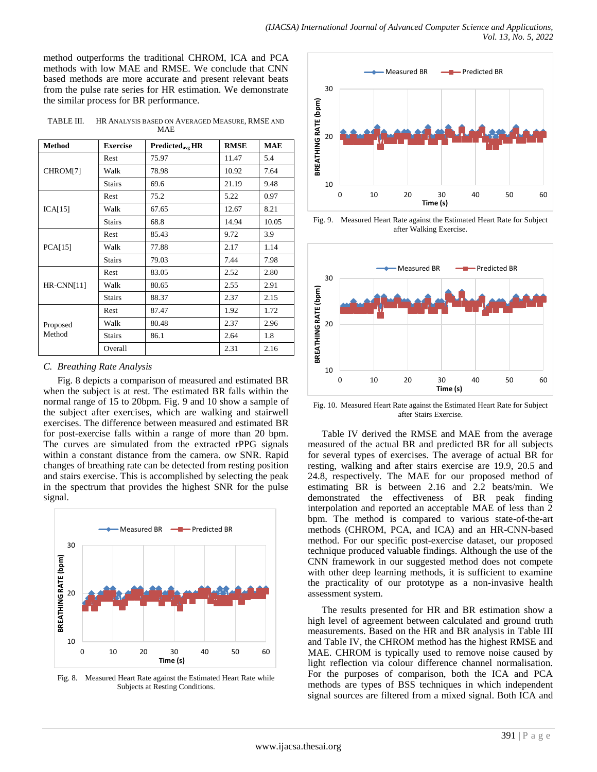method outperforms the traditional CHROM, ICA and PCA methods with low MAE and RMSE. We conclude that CNN based methods are more accurate and present relevant beats from the pulse rate series for HR estimation. We demonstrate the similar process for BR performance.

TABLE III. HR ANALYSIS BASED ON AVERAGED MEASURE, RMSE AND MAE

| <b>Method</b>      | <b>Exercise</b> | Predicted <sub>avg</sub> HR | <b>RMSE</b> | <b>MAE</b> |
|--------------------|-----------------|-----------------------------|-------------|------------|
| CHROM[7]           | Rest            | 75.97                       | 11.47       | 5.4        |
|                    | Walk            | 78.98                       | 10.92       | 7.64       |
|                    | <b>Stairs</b>   | 69.6                        | 21.19       | 9.48       |
|                    | Rest            | 75.2                        | 5.22        | 0.97       |
| ICA[15]            | Walk            | 67.65                       | 12.67       | 8.21       |
|                    | <b>Stairs</b>   | 68.8                        | 14.94       | 10.05      |
|                    | Rest            | 85.43                       | 9.72        | 3.9        |
| PCA[15]            | Walk            | 77.88                       | 2.17        | 1.14       |
|                    | <b>Stairs</b>   | 79.03                       | 7.44        | 7.98       |
| HR-CNN[11]         | Rest            | 83.05                       | 2.52        | 2.80       |
|                    | Walk            | 80.65                       | 2.55        | 2.91       |
|                    | <b>Stairs</b>   | 88.37                       | 2.37        | 2.15       |
| Proposed<br>Method | Rest            | 87.47                       | 1.92        | 1.72       |
|                    | Walk            | 80.48                       | 2.37        | 2.96       |
|                    | <b>Stairs</b>   | 86.1                        | 2.64        | 1.8        |
|                    | Overall         |                             | 2.31        | 2.16       |

#### *C. Breathing Rate Analysis*

Fig. 8 depicts a comparison of measured and estimated BR when the subject is at rest. The estimated BR falls within the normal range of 15 to 20bpm. Fig. 9 and 10 show a sample of the subject after exercises, which are walking and stairwell exercises. The difference between measured and estimated BR for post-exercise falls within a range of more than 20 bpm. The curves are simulated from the extracted rPPG signals within a constant distance from the camera. ow SNR. Rapid changes of breathing rate can be detected from resting position and stairs exercise. This is accomplished by selecting the peak in the spectrum that provides the highest SNR for the pulse signal.



Fig. 8. Measured Heart Rate against the Estimated Heart Rate while Subjects at Resting Conditions.



Fig. 9. Measured Heart Rate against the Estimated Heart Rate for Subject after Walking Exercise.



Fig. 10. Measured Heart Rate against the Estimated Heart Rate for Subject after Stairs Exercise.

Table IV derived the RMSE and MAE from the average measured of the actual BR and predicted BR for all subjects for several types of exercises. The average of actual BR for resting, walking and after stairs exercise are 19.9, 20.5 and 24.8, respectively. The MAE for our proposed method of estimating BR is between 2.16 and 2.2 beats/min. We demonstrated the effectiveness of BR peak finding interpolation and reported an acceptable MAE of less than 2 bpm. The method is compared to various state-of-the-art methods (CHROM, PCA, and ICA) and an HR-CNN-based method. For our specific post-exercise dataset, our proposed technique produced valuable findings. Although the use of the CNN framework in our suggested method does not compete with other deep learning methods, it is sufficient to examine the practicality of our prototype as a non-invasive health assessment system.

The results presented for HR and BR estimation show a high level of agreement between calculated and ground truth measurements. Based on the HR and BR analysis in Table III and Table IV, the CHROM method has the highest RMSE and MAE. CHROM is typically used to remove noise caused by light reflection via colour difference channel normalisation. For the purposes of comparison, both the ICA and PCA methods are types of BSS techniques in which independent signal sources are filtered from a mixed signal. Both ICA and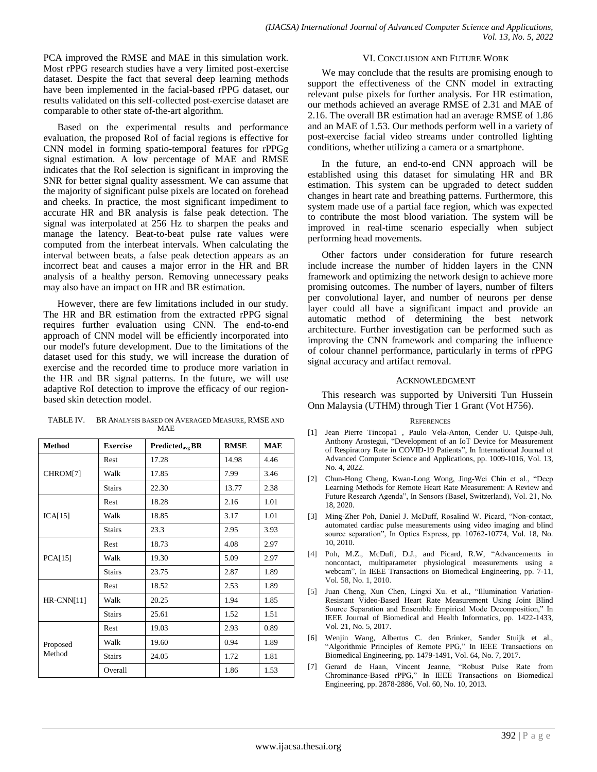PCA improved the RMSE and MAE in this simulation work. Most rPPG research studies have a very limited post-exercise dataset. Despite the fact that several deep learning methods have been implemented in the facial-based rPPG dataset, our results validated on this self-collected post-exercise dataset are comparable to other state of-the-art algorithm.

Based on the experimental results and performance evaluation, the proposed RoI of facial regions is effective for CNN model in forming spatio-temporal features for rPPGg signal estimation. A low percentage of MAE and RMSE indicates that the RoI selection is significant in improving the SNR for better signal quality assessment. We can assume that the majority of significant pulse pixels are located on forehead and cheeks. In practice, the most significant impediment to accurate HR and BR analysis is false peak detection. The signal was interpolated at 256 Hz to sharpen the peaks and manage the latency. Beat-to-beat pulse rate values were computed from the interbeat intervals. When calculating the interval between beats, a false peak detection appears as an incorrect beat and causes a major error in the HR and BR analysis of a healthy person. Removing unnecessary peaks may also have an impact on HR and BR estimation.

However, there are few limitations included in our study. The HR and BR estimation from the extracted rPPG signal requires further evaluation using CNN. The end-to-end approach of CNN model will be efficiently incorporated into our model's future development. Due to the limitations of the dataset used for this study, we will increase the duration of exercise and the recorded time to produce more variation in the HR and BR signal patterns. In the future, we will use adaptive RoI detection to improve the efficacy of our regionbased skin detection model.

| <b>Method</b>      | <b>Exercise</b> | Predicted <sub>avg</sub> BR | <b>RMSE</b> | <b>MAE</b> |
|--------------------|-----------------|-----------------------------|-------------|------------|
| CHROM[7]           | Rest            | 17.28                       | 14.98       | 4.46       |
|                    | Walk            | 17.85                       | 7.99        | 3.46       |
|                    | <b>Stairs</b>   | 22.30                       | 13.77       | 2.38       |
| ICA[15]            | Rest            | 18.28                       | 2.16        | 1.01       |
|                    | Walk            | 18.85                       | 3.17        | 1.01       |
|                    | <b>Stairs</b>   | 23.3                        | 2.95        | 3.93       |
| PCA[15]            | Rest            | 18.73                       | 4.08        | 2.97       |
|                    | Walk            | 19.30                       | 5.09        | 2.97       |
|                    | <b>Stairs</b>   | 23.75                       | 2.87        | 1.89       |
| $HR$ -CNN[11]      | Rest            | 18.52                       | 2.53        | 1.89       |
|                    | Walk            | 20.25                       | 1.94        | 1.85       |
|                    | <b>Stairs</b>   | 25.61                       | 1.52        | 1.51       |
| Proposed<br>Method | Rest            | 19.03                       | 2.93        | 0.89       |
|                    | Walk            | 19.60                       | 0.94        | 1.89       |
|                    | <b>Stairs</b>   | 24.05                       | 1.72        | 1.81       |
|                    | Overall         |                             | 1.86        | 1.53       |

#### TABLE IV. BR ANALYSIS BASED ON AVERAGED MEASURE, RMSE AND MAE

## VI. CONCLUSION AND FUTURE WORK

We may conclude that the results are promising enough to support the effectiveness of the CNN model in extracting relevant pulse pixels for further analysis. For HR estimation, our methods achieved an average RMSE of 2.31 and MAE of 2.16. The overall BR estimation had an average RMSE of 1.86 and an MAE of 1.53. Our methods perform well in a variety of post-exercise facial video streams under controlled lighting conditions, whether utilizing a camera or a smartphone.

In the future, an end-to-end CNN approach will be established using this dataset for simulating HR and BR estimation. This system can be upgraded to detect sudden changes in heart rate and breathing patterns. Furthermore, this system made use of a partial face region, which was expected to contribute the most blood variation. The system will be improved in real-time scenario especially when subject performing head movements.

Other factors under consideration for future research include increase the number of hidden layers in the CNN framework and optimizing the network design to achieve more promising outcomes. The number of layers, number of filters per convolutional layer, and number of neurons per dense layer could all have a significant impact and provide an automatic method of determining the best network architecture. Further investigation can be performed such as improving the CNN framework and comparing the influence of colour channel performance, particularly in terms of rPPG signal accuracy and artifact removal.

#### ACKNOWLEDGMENT

This research was supported by Universiti Tun Hussein Onn Malaysia (UTHM) through Tier 1 Grant (Vot H756).

#### **REFERENCES**

- [1] Jean Pierre Tincopa1 , Paulo Vela-Anton, Cender U. Quispe-Juli, Anthony Arostegui, "Development of an IoT Device for Measurement of Respiratory Rate in COVID-19 Patients", In International Journal of Advanced Computer Science and Applications, pp. 1009-1016, Vol. 13, No. 4, 2022.
- [2] Chun-Hong Cheng, Kwan-Long Wong, Jing-Wei Chin et al., "Deep Learning Methods for Remote Heart Rate Measurement: A Review and Future Research Agenda", In Sensors (Basel, Switzerland), Vol. 21, No. 18, 2020.
- [3] Ming-Zher Poh, Daniel J. McDuff, Rosalind W. Picard, "Non-contact, automated cardiac pulse measurements using video imaging and blind source separation", In Optics Express, pp. 10762-10774, Vol. 18, No. 10, 2010.
- [4] Poh, M.Z., McDuff, D.J., and Picard, R.W, "Advancements in noncontact, multiparameter physiological measurements using a webcam", In IEEE Transactions on Biomedical Engineering, pp. 7-11, Vol. 58, No. 1, 2010.
- [5] Juan Cheng, Xun Chen, Lingxi Xu. et al., "Illumination Variation-Resistant Video-Based Heart Rate Measurement Using Joint Blind Source Separation and Ensemble Empirical Mode Decomposition," In IEEE Journal of Biomedical and Health Informatics, pp. 1422-1433, Vol. 21, No. 5, 2017.
- [6] Wenjin Wang, Albertus C. den Brinker, Sander Stuijk et al., "Algorithmic Principles of Remote PPG," In IEEE Transactions on Biomedical Engineering, pp. 1479-1491, Vol. 64, No. 7, 2017.
- [7] Gerard de Haan, Vincent Jeanne, "Robust Pulse Rate from Chrominance-Based rPPG," In IEEE Transactions on Biomedical Engineering, pp. 2878-2886, Vol. 60, No. 10, 2013.